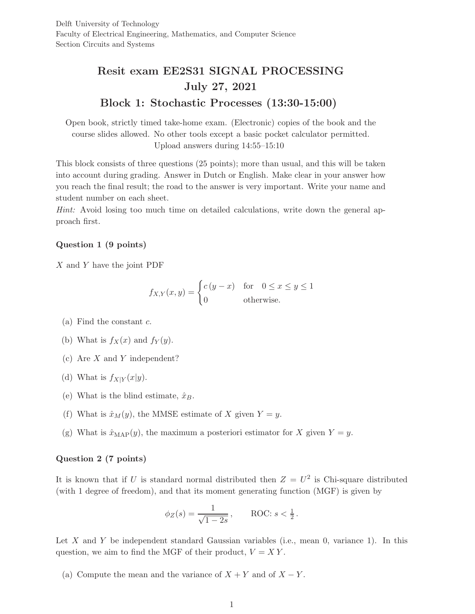# Resit exam EE2S31 SIGNAL PROCESSING July 27, 2021 Block 1: Stochastic Processes (13:30-15:00)

Open book, strictly timed take-home exam. (Electronic) copies of the book and the course slides allowed. No other tools except a basic pocket calculator permitted. Upload answers during 14:55–15:10

This block consists of three questions (25 points); more than usual, and this will be taken into account during grading. Answer in Dutch or English. Make clear in your answer how you reach the final result; the road to the answer is very important. Write your name and student number on each sheet.

Hint: Avoid losing too much time on detailed calculations, write down the general approach first.

## Question 1 (9 points)

X and Y have the joint PDF

$$
f_{X,Y}(x,y) = \begin{cases} c(y-x) & \text{for} \quad 0 \le x \le y \le 1\\ 0 & \text{otherwise.} \end{cases}
$$

- (a) Find the constant  $c$ .
- (b) What is  $f_X(x)$  and  $f_Y(y)$ .
- (c) Are X and Y independent?
- (d) What is  $f_{X|Y}(x|y)$ .
- (e) What is the blind estimate,  $\hat{x}_B$ .
- (f) What is  $\hat{x}_M(y)$ , the MMSE estimate of X given  $Y = y$ .
- (g) What is  $\hat{x}_{\text{MAP}}(y)$ , the maximum a posteriori estimator for X given  $Y = y$ .

### Question 2 (7 points)

It is known that if U is standard normal distributed then  $Z = U^2$  is Chi-square distributed (with 1 degree of freedom), and that its moment generating function (MGF) is given by

$$
\phi_Z(s) = \frac{1}{\sqrt{1 - 2s}}, \quad \text{ROC: } s < \frac{1}{2}.
$$

Let X and Y be independent standard Gaussian variables (i.e., mean 0, variance 1). In this question, we aim to find the MGF of their product,  $V = XY$ .

(a) Compute the mean and the variance of  $X + Y$  and of  $X - Y$ .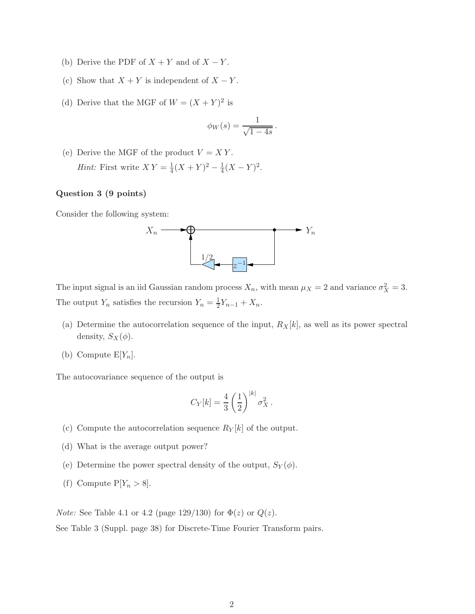- (b) Derive the PDF of  $X + Y$  and of  $X Y$ .
- (c) Show that  $X + Y$  is independent of  $X Y$ .
- (d) Derive that the MGF of  $W = (X + Y)^2$  is

$$
\phi_W(s) = \frac{1}{\sqrt{1-4s}}
$$

.

(e) Derive the MGF of the product  $V = XY$ . *Hint*: First write  $XY = \frac{1}{4}$  $\frac{1}{4}(X+Y)^2 - \frac{1}{4}$  $\frac{1}{4}(X-Y)^2$ .

## Question 3 (9 points)

Consider the following system:



The input signal is an iid Gaussian random process  $X_n$ , with mean  $\mu_X = 2$  and variance  $\sigma_X^2 = 3$ . The output  $Y_n$  satisfies the recursion  $Y_n = \frac{1}{2}$  $\frac{1}{2}Y_{n-1} + X_n$ .

- (a) Determine the autocorrelation sequence of the input,  $R_X[k]$ , as well as its power spectral density,  $S_X(\phi)$ .
- (b) Compute  $E[Y_n]$ .

The autocovariance sequence of the output is

$$
C_Y[k] = \frac{4}{3} \left(\frac{1}{2}\right)^{|k|} \sigma_X^2.
$$

- (c) Compute the autocorrelation sequence  $R_Y[k]$  of the output.
- (d) What is the average output power?
- (e) Determine the power spectral density of the output,  $S_Y(\phi)$ .
- (f) Compute  $P[Y_n > 8]$ .

*Note:* See Table 4.1 or 4.2 (page 129/130) for  $\Phi(z)$  or  $Q(z)$ . See Table 3 (Suppl. page 38) for Discrete-Time Fourier Transform pairs.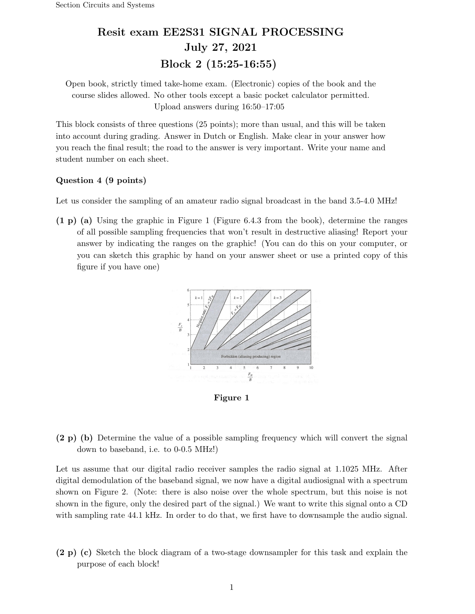## Resit exam EE2S31 SIGNAL PROCESSING July 27, 2021 Block 2 (15:25-16:55)

Open book, strictly timed take-home exam. (Electronic) copies of the book and the course slides allowed. No other tools except a basic pocket calculator permitted. Upload answers during 16:50–17:05

This block consists of three questions (25 points); more than usual, and this will be taken into account during grading. Answer in Dutch or English. Make clear in your answer how you reach the final result; the road to the answer is very important. Write your name and student number on each sheet.

### Question 4 (9 points)

Let us consider the sampling of an amateur radio signal broadcast in the band 3.5-4.0 MHz!

(1 p) (a) Using the graphic in Figure 1 (Figure 6.4.3 from the book), determine the ranges of all possible sampling frequencies that won't result in destructive aliasing! Report your answer by indicating the ranges on the graphic! (You can do this on your computer, or you can sketch this graphic by hand on your answer sheet or use a printed copy of this figure if you have one)



Figure 1

(2 p) (b) Determine the value of a possible sampling frequency which will convert the signal down to baseband, i.e. to 0-0.5 MHz!)

Let us assume that our digital radio receiver samples the radio signal at 1.1025 MHz. After digital demodulation of the baseband signal, we now have a digital audiosignal with a spectrum shown on Figure 2. (Note: there is also noise over the whole spectrum, but this noise is not shown in the figure, only the desired part of the signal.) We want to write this signal onto a CD with sampling rate 44.1 kHz. In order to do that, we first have to downsample the audio signal.

(2 p) (c) Sketch the block diagram of a two-stage downsampler for this task and explain the purpose of each block!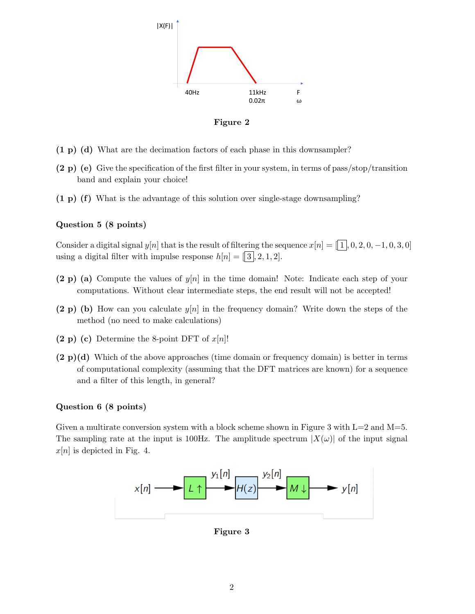

Figure 2

- (1 p) (d) What are the decimation factors of each phase in this downsampler?
- (2 p) (e) Give the specification of the first filter in your system, in terms of pass/stop/transition band and explain your choice!
- (1 p) (f) What is the advantage of this solution over single-stage downsampling?

### Question 5 (8 points)

Consider a digital signal  $y[n]$  that is the result of filtering the sequence  $x[n] = \lceil \overline{1} \rceil, 0, 2, 0, -1, 0, 3, 0$ using a digital filter with impulse response  $h[n] = [3, 2, 1, 2]$ .

- (2 p) (a) Compute the values of  $y[n]$  in the time domain! Note: Indicate each step of your computations. Without clear intermediate steps, the end result will not be accepted!
- (2 p) (b) How can you calculate  $y[n]$  in the frequency domain? Write down the steps of the method (no need to make calculations)
- (2 p) (c) Determine the 8-point DFT of  $x[n]$ !
- $(2 p)(d)$  Which of the above approaches (time domain or frequency domain) is better in terms of computational complexity (assuming that the DFT matrices are known) for a sequence and a filter of this length, in general?

### Question 6 (8 points)

Given a multirate conversion system with a block scheme shown in Figure 3 with  $L=2$  and  $M=5$ . The sampling rate at the input is 100Hz. The amplitude spectrum  $|X(\omega)|$  of the input signal  $x[n]$  is depicted in Fig. 4.



Figure 3